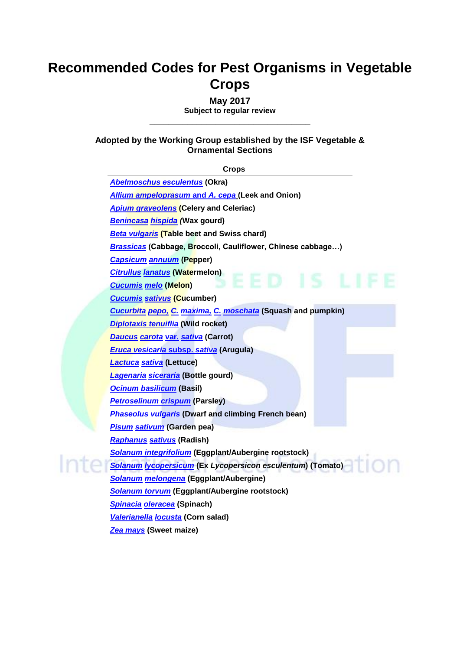# **Recommended Codes for Pest Organisms in Vegetable Crops**

**May 2017**

**Subject to regular review** \_\_\_\_\_\_\_\_\_\_\_\_\_\_\_\_\_\_\_\_\_\_\_\_\_\_\_\_\_\_\_\_\_\_

**Adopted by the Working Group established by the ISF Vegetable & Ornamental Sections**

**Crops** *[Abelmoschus esculentus](#page-1-0)* **(Okra)** *[Allium ampeloprasum](#page-1-1)* **and** *A. cepa* **(Leek and Onion)** *[Apium graveolens](#page-1-2)* **(Celery and Celeriac)** *[Benincasa](#page-1-3) hispida (***Wax gourd)** *[Beta vulgaris](#page-2-0)* **(Table beet and Swiss chard)** *[Brassicas](#page-2-1)* **(Cabbage, Broccoli, Cauliflower, Chinese cabbage…)** *[Capsicum](#page-3-0) annuum* **(Pepper)** *[Citrullus](#page-3-1) lanatus* **(Watermelon)** *[Cucumis](#page-4-0) melo* **(Melon)** *[Cucumis](#page-4-1) sativus* **(Cucumber)** *[Cucurbita](#page-5-0) pepo, C. maxima, C. moschata* **(Squash and pumpkin)** *[Diplotaxis tenuiflia](#page-6-0)* **(Wild rocket)** *[Daucus](#page-5-1) carota* **var***. sativa* **(Carrot)** *[Eruca vesicaria](#page-6-1)* **subsp.** *sativa* **(Arugula)** *[Lactuca](#page-6-2) sativa* **(Lettuce)** *[Lagenaria](#page-7-0) siceraria* **(Bottle gourd)** *[Ocinum basilicum](#page-7-1)* **(Basil)** *[Petroselinum crispum](#page-7-2)* **(Parsley)** *[Phaseolus](#page-7-3) vulgaris* **(Dwarf and climbing French bean)** *Pisum [sativum](#page-8-0)* **(Garden pea)** *[Raphanus](#page-8-1) sativus* **(Radish)** *[Solanum integrifolium](#page-8-2)* **(Eggplant/Aubergine rootstock)** *Solanum [lycopersicum](#page-9-0)* **(Ex** *Lycopersicon esculentum***) (Tomato)** *Solanum [melongena](#page-10-0)* **(Eggplant/Aubergine)** *[Solanum torvum](#page-10-1)* **(Eggplant/Aubergine rootstock)** *[Spinacia](#page-10-2) oleracea* **(Spinach)** *[Valerianella](#page-11-0) locusta* **(Corn salad)** *[Zea mays](#page-11-1)* **(Sweet maize)**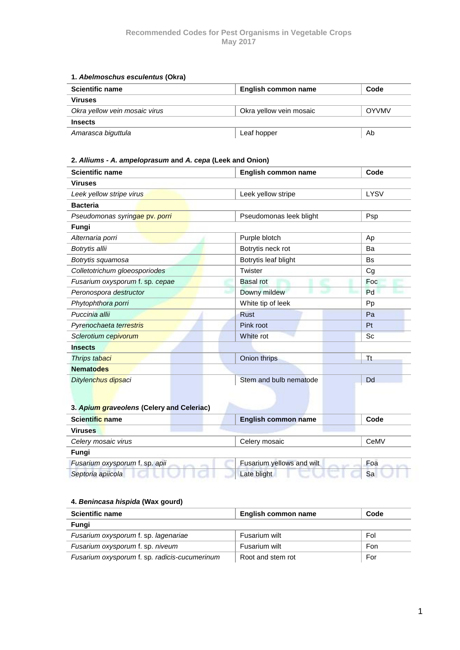#### <span id="page-1-0"></span>**1.** *Abelmoschus esculentus* **(Okra)**

| <b>Scientific name</b>        | English common name     | Code         |
|-------------------------------|-------------------------|--------------|
| <b>Viruses</b>                |                         |              |
| Okra yellow vein mosaic virus | Okra yellow vein mosaic | <b>OYVMV</b> |
| <b>Insects</b>                |                         |              |
| Amarasca biguttula            | Leaf hopper             | Ab           |

# <span id="page-1-1"></span>**2.** *Alliums - A. ampeloprasum* **and** *A. cepa* **(Leek and Onion)**

| <b>Scientific name</b>                    | English common name        | Code      |
|-------------------------------------------|----------------------------|-----------|
| <b>Viruses</b>                            |                            |           |
| Leek yellow stripe virus                  | Leek yellow stripe         | LYSV      |
| <b>Bacteria</b>                           |                            |           |
| Pseudomonas syringae pv. porri            | Pseudomonas leek blight    | Psp       |
| Fungi                                     |                            |           |
| Alternaria porri                          | Purple blotch              | Ap        |
| Botrytis allii                            | Botrytis neck rot          | Ba        |
| Botrytis squamosa                         | Botrytis leaf blight       | <b>Bs</b> |
| Colletotrichum gloeosporiodes             | Twister                    | Cg        |
| Fusarium oxysporum f. sp. cepae           | <b>Basal rot</b>           | Foc       |
| Peronospora destructor                    | Downy mildew               | Pd        |
| Phytophthora porri                        | White tip of leek          | Pp        |
| Puccinia allii                            | <b>Rust</b>                | Pa        |
| Pyrenochaeta terrestris                   | Pink root                  | Pt        |
| Sclerotium cepivorum                      | White rot                  | Sc        |
| <b>Insects</b>                            |                            |           |
| Thrips tabaci                             | Onion thrips               | <b>Tt</b> |
| <b>Nematodes</b>                          |                            |           |
| Ditylenchus dipsaci                       | Stem and bulb nematode     | Dd        |
|                                           |                            |           |
| 3. Apium graveolens (Celery and Celeriac) |                            |           |
| <b>Scientific name</b>                    | <b>English common name</b> | Code      |
| <b>Viruses</b>                            |                            |           |
| Celery mosaic virus                       | Celery mosaic              | CeMV      |
| Fungi                                     |                            |           |
| Fusarium oxysporum f. sp. apii            | Fusarium yellows and wilt  | Foa       |
| Septoria apiicola                         | Late blight                | Sa        |

# <span id="page-1-3"></span><span id="page-1-2"></span>**4.** *Benincasa hispida* **(Wax gourd)**

| <b>Scientific name</b>                        | English common name | Code |
|-----------------------------------------------|---------------------|------|
| Fungi                                         |                     |      |
| Fusarium oxysporum f. sp. lagenariae          | Fusarium wilt       | Fol  |
| Fusarium oxysporum f. sp. niveum              | Fusarium wilt       | Fon  |
| Fusarium oxysporum f. sp. radicis-cucumerinum | Root and stem rot   | For  |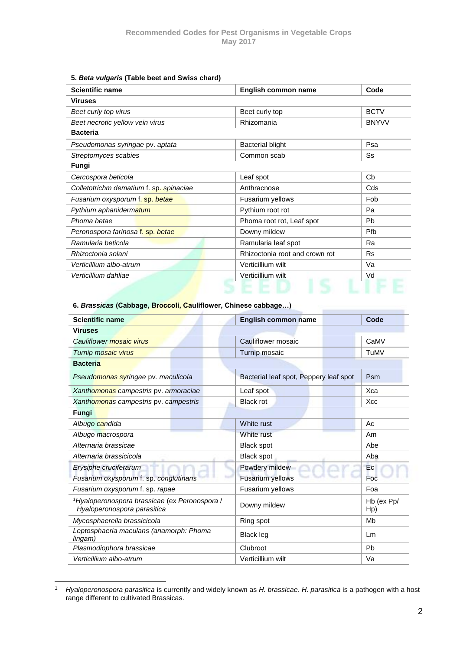#### <span id="page-2-0"></span>**5.** *Beta vulgaris* **(Table beet and Swiss chard)**

| <b>Scientific name</b>                  | English common name            | Code         |
|-----------------------------------------|--------------------------------|--------------|
| <b>Viruses</b>                          |                                |              |
| Beet curly top virus                    | Beet curly top                 | <b>BCTV</b>  |
| Beet necrotic yellow vein virus         | Rhizomania                     | <b>BNYVV</b> |
| <b>Bacteria</b>                         |                                |              |
| Pseudomonas syringae pv. aptata         | <b>Bacterial blight</b>        | Psa          |
| Streptomyces scabies                    | Common scab                    | <b>Ss</b>    |
| Fungi                                   |                                |              |
| Cercospora beticola                     | Leaf spot                      | Cb           |
| Colletotrichm dematium f. sp. spinaciae | Anthracnose                    | Cds          |
| Fusarium oxysporum f. sp. betae         | Fusarium yellows               | Fob          |
| Pythium aphanidermatum                  | Pythium root rot               | Pa           |
| Phoma betae                             | Phoma root rot, Leaf spot      | Pb           |
| Peronospora farinosa f. sp. betae       | Downy mildew                   | <b>Pfb</b>   |
| Ramularia beticola                      | Ramularia leaf spot            | Ra           |
| Rhizoctonia solani                      | Rhizoctonia root and crown rot | <b>Rs</b>    |
| Verticillium albo-atrum                 | Verticillium wilt              | Va           |
| Verticillium dahliae                    | Verticillium wilt              | Vd           |
|                                         |                                |              |

#### <span id="page-2-1"></span>**6.** *Brassicas* **(Cabbage, Broccoli, Cauliflower, Chinese cabbage…)**

| <b>Scientific name</b>                                                                   | <b>English common name</b>             | Code              |  |
|------------------------------------------------------------------------------------------|----------------------------------------|-------------------|--|
| <b>Viruses</b>                                                                           |                                        |                   |  |
| Cauliflower mosaic virus                                                                 | Cauliflower mosaic                     | CaMV              |  |
| Turnip mosaic virus                                                                      | Turnip mosaic                          | TuMV              |  |
| <b>Bacteria</b>                                                                          |                                        |                   |  |
| Pseudomonas syringae pv. maculicola                                                      | Bacterial leaf spot, Peppery leaf spot | <b>Psm</b>        |  |
| Xanthomonas campestris pv. armoraciae                                                    | Leaf spot                              | Xca               |  |
| Xanthomonas campestris pv. campestris                                                    | <b>Black rot</b>                       | Xcc               |  |
| Fungi                                                                                    |                                        |                   |  |
| Albugo candida                                                                           | White rust                             | Ac                |  |
| Albugo macrospora                                                                        | White rust                             | Am                |  |
| Alternaria brassicae                                                                     | <b>Black spot</b>                      | Abe               |  |
| Alternaria brassicicola                                                                  | <b>Black spot</b>                      | Aba               |  |
| Erysiphe cruciferarum                                                                    | Powdery mildew                         | Ec                |  |
| Fusarium oxysporum f. sp. conglutinans                                                   | Fusarium yellows                       | Foc               |  |
| Fusarium oxysporum f. sp. rapae                                                          | Fusarium yellows                       | Foa               |  |
| <sup>1</sup> Hyaloperonospora brassicae (ex Peronospora /<br>Hyaloperonospora parasitica | Downy mildew                           | Hb (ex Pp/<br>Hp) |  |
| Mycosphaerella brassicicola                                                              | Ring spot                              | Mb                |  |
| Leptosphaeria maculans (anamorph: Phoma<br>lingam)                                       | <b>Black leg</b>                       | Lm                |  |
| Plasmodiophora brassicae                                                                 | Clubroot                               | Pb                |  |
| Verticillium albo-atrum                                                                  | Verticillium wilt                      | Va                |  |

 $\mathbf{1}$ <sup>1</sup> *Hyaloperonospora parasitica* is currently and widely known as *H. brassicae*. *H. parasitica* is a pathogen with a host range different to cultivated Brassicas.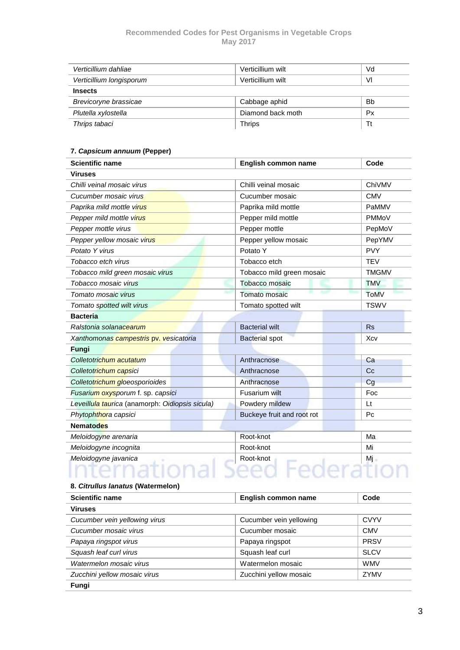| Verticillium dahliae     | Verticillium wilt | Vd |
|--------------------------|-------------------|----|
| Verticillium longisporum | Verticillium wilt | VI |
| <b>Insects</b>           |                   |    |
| Brevicoryne brassicae    | Cabbage aphid     | Bb |
| Plutella xylostella      | Diamond back moth | Px |
| Thrips tabaci            | <b>Thrips</b>     |    |

# <span id="page-3-0"></span>**7.** *Capsicum annuum* **(Pepper)**

| <b>Scientific name</b>                          | <b>English common name</b> | Code           |
|-------------------------------------------------|----------------------------|----------------|
| Viruses                                         |                            |                |
| Chilli veinal mosaic virus                      | Chilli veinal mosaic       | ChiVMV         |
| Cucumber mosaic virus                           | Cucumber mosaic            | <b>CMV</b>     |
| Paprika mild mottle virus                       | Paprika mild mottle        | PaMMV          |
| Pepper mild mottle virus                        | Pepper mild mottle         | <b>PMMoV</b>   |
| Pepper mottle virus                             | Pepper mottle              | PepMoV         |
| Pepper yellow mosaic virus                      | Pepper yellow mosaic       | PepYMV         |
| Potato Y virus                                  | Potato Y                   | <b>PVY</b>     |
| Tobacco etch virus                              | Tobacco etch               | <b>TEV</b>     |
| Tobacco mild green mosaic virus                 | Tobacco mild green mosaic  | <b>TMGMV</b>   |
| Tobacco mosaic virus                            | Tobacco mosaic             | <b>TMV</b>     |
| Tomato mosaic virus                             | Tomato mosaic              | <b>ToMV</b>    |
| Tomato spotted wilt virus                       | Tomato spotted wilt        | <b>TSWV</b>    |
| <b>Bacteria</b>                                 |                            |                |
| Ralstonia solanacearum                          | <b>Bacterial wilt</b>      | <b>Rs</b>      |
| Xanthomonas campestris pv. vesicatoria          | <b>Bacterial spot</b>      | Xcv            |
| Fungi                                           |                            |                |
| Colletotrichum acutatum                         | Anthracnose                | Ca             |
| Colletotrichum capsici                          | Anthracnose                | C <sub>c</sub> |
| Colletotrichum gloeosporioides                  | Anthracnose                | Cg             |
| Fusarium oxysporum f. sp. capsici               | <b>Fusarium wilt</b>       | Foc            |
| Leveillula taurica (anamorph: Oidiopsis sicula) | Powdery mildew             | Lt             |
| Phytophthora capsici                            | Buckeye fruit and root rot | P <sub>C</sub> |
| <b>Nematodes</b>                                |                            |                |
| Meloidogyne arenaria                            | Root-knot                  | Ma             |
| Meloidogyne incognita                           | Root-knot                  | Mi             |
| Meloidogyne javanica                            | Root-knot                  | Mj             |
|                                                 |                            |                |

# <span id="page-3-1"></span>**8.** *Citrullus lanatus* **(Watermelon)**

| <b>Scientific name</b>        | English common name     | Code        |
|-------------------------------|-------------------------|-------------|
| <b>Viruses</b>                |                         |             |
| Cucumber vein yellowing virus | Cucumber vein yellowing | CVYV        |
| Cucumber mosaic virus         | Cucumber mosaic         | <b>CMV</b>  |
| Papaya ringspot virus         | Papaya ringspot         | PRSV        |
| Squash leaf curl virus        | Squash leaf curl        | <b>SLCV</b> |
| Watermelon mosaic virus       | Watermelon mosaic       | <b>WMV</b>  |
| Zucchini yellow mosaic virus  | Zucchini yellow mosaic  | ZYMV        |
| Fungi                         |                         |             |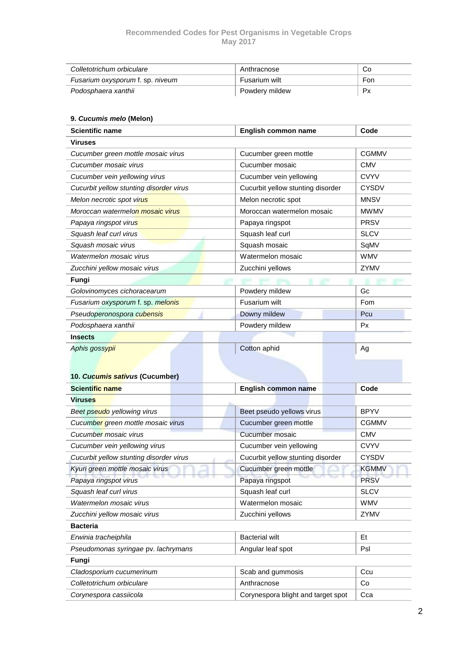| Colletotrichum orbiculare        | Anthracnose    | Cо  |
|----------------------------------|----------------|-----|
| Fusarium oxysporum f. sp. niveum | Fusarium wilt  | Fon |
| Podosphaera xanthii              | Powdery mildew | Px  |

# <span id="page-4-0"></span>**9.** *Cucumis melo* **(Melon)**

| <b>Scientific name</b>                           | English common name               | Code         |
|--------------------------------------------------|-----------------------------------|--------------|
| Viruses                                          |                                   |              |
| Cucumber green mottle mosaic virus               | Cucumber green mottle             | <b>CGMMV</b> |
| Cucumber mosaic virus                            | Cucumber mosaic                   | CMV          |
| Cucumber vein yellowing virus                    | Cucumber vein yellowing           | <b>CVYV</b>  |
| Cucurbit yellow stunting disorder virus          | Cucurbit yellow stunting disorder | <b>CYSDV</b> |
| Melon necrotic spot virus                        | Melon necrotic spot               | <b>MNSV</b>  |
| Moroccan watermelon mosaic virus                 | Moroccan watermelon mosaic        | MWMV         |
| Papaya ringspot viru <mark>s</mark>              | Papaya ringspot                   | <b>PRSV</b>  |
| Squash leaf curl virus                           | Squash leaf curl                  | <b>SLCV</b>  |
| Squash mosaic virus                              | Squash mosaic                     | SqMV         |
| Watermelon mosaic virus                          | Watermelon mosaic                 | <b>WMV</b>   |
| Zucchini yellow mosaic virus                     | Zucchini yellows                  | ZYMV         |
| Fungi                                            |                                   |              |
| Golovinomyces cichoracearum                      | Powdery mildew                    | Gc           |
| Fusarium oxysporum f. sp. melonis                | Fusarium wilt                     | Fom          |
| Pseudoperonospora cubensis                       | Downy mildew                      | Pcu          |
| Podosphaera xanthii                              | Powdery mildew                    | Px           |
| <b>Insects</b>                                   |                                   |              |
| Aphis gossypii<br>10. Cucumis sativus (Cucumber) | Cotton aphid                      | Ag           |
| <b>Scientific name</b>                           | <b>English common name</b>        | Code         |
| Viruses                                          |                                   |              |
| Beet pseudo yellowing virus                      | Beet pseudo yellows virus         | <b>BPYV</b>  |
| Cucumber green mottle mosaic virus               | Cucumber green mottle             | <b>CGMMV</b> |
| Cucumber mosaic virus                            | Cucumber mosaic                   | <b>CMV</b>   |
| Cucumber vein yellowing virus                    | Cucumber vein yellowing           | <b>CVYV</b>  |
| Cucurbit yellow stunting disorder virus          | Cucurbit yellow stunting disorder | <b>CYSDV</b> |
| Kyuri green mottle mosaic virus                  | Cucumber green mottle             | <b>KGMMV</b> |
| Papaya ringspot virus                            | Papaya ringspot                   | <b>PRSV</b>  |
| Squash leaf curl virus                           | Squash leaf curl                  | <b>SLCV</b>  |
| Watermelon mosaic virus                          | Watermelon mosaic                 | <b>WMV</b>   |
| Zucchini yellow mosaic virus                     | Zucchini yellows                  | ZYMV         |
| <b>Bacteria</b>                                  |                                   |              |
| Erwinia tracheiphila                             | <b>Bacterial wilt</b>             | Et           |
|                                                  |                                   |              |

<span id="page-4-1"></span>

| Pseudomonas syringae pv. lachrymans | Angular leaf spot                  | Psl |
|-------------------------------------|------------------------------------|-----|
| Fungi                               |                                    |     |
| Cladosporium cucumerinum            | Scab and gummosis                  | Ccu |
| Colletotrichum orbiculare           | Anthracnose                        | Co  |
| Corynespora cassiicola              | Corynespora blight and target spot | Cca |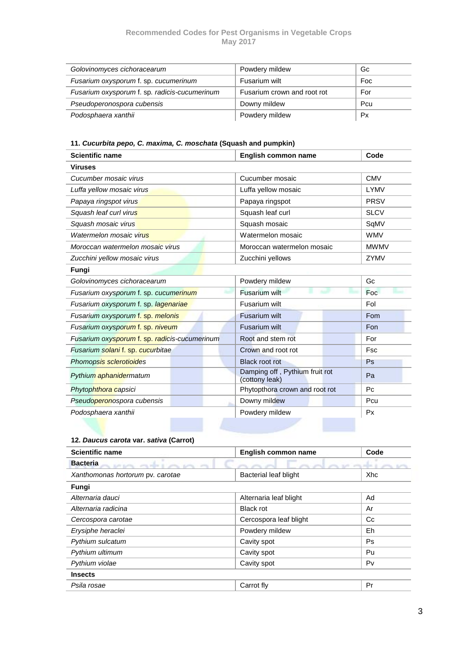| Golovinomyces cichoracearum                   | Powdery mildew              | Gc         |
|-----------------------------------------------|-----------------------------|------------|
| Fusarium oxysporum f. sp. cucumerinum         | Fusarium wilt               | <b>Foc</b> |
| Fusarium oxysporum f. sp. radicis-cucumerinum | Fusarium crown and root rot | For        |
| Pseudoperonospora cubensis                    | Downy mildew                | Pcu        |
| Podosphaera xanthii                           | Powdery mildew              | Px         |

# <span id="page-5-0"></span>**11.** *Cucurbita pepo, C. maxima, C. moschata* **(Squash and pumpkin)**

| <b>Scientific name</b>                        | English common name                              | Code           |  |
|-----------------------------------------------|--------------------------------------------------|----------------|--|
| <b>Viruses</b>                                |                                                  |                |  |
| Cucumber mosaic virus                         | Cucumber mosaic                                  | <b>CMV</b>     |  |
| Luffa yellow mosaic virus                     | Luffa yellow mosaic                              | <b>LYMV</b>    |  |
| Papaya ringspot virus                         | Papaya ringspot                                  | <b>PRSV</b>    |  |
| Squash leaf curl virus                        | Squash leaf curl                                 | <b>SLCV</b>    |  |
| Squash mosaic virus                           | Squash mosaic                                    | SqMV           |  |
| Watermelon mosaic virus                       | Watermelon mosaic                                | <b>WMV</b>     |  |
| Moroccan watermelon mosaic virus              | Moroccan watermelon mosaic                       | <b>MWMV</b>    |  |
| Zucchini yellow mosaic virus                  | Zucchini yellows                                 | ZYMV           |  |
| Fungi                                         |                                                  |                |  |
| Golovinomyces cichoracearum                   | Powdery mildew                                   | Gc             |  |
| Fusarium oxysporum f. sp. cucumerinum         | <b>Fusarium wilt</b>                             | <b>Foc</b>     |  |
| Fusarium oxysporum f. sp. lagenariae          | Fusarium wilt                                    | Fol            |  |
| Fusarium oxysporum f. sp. melonis             | Fusarium wilt                                    | Fom            |  |
| Fusarium oxysporum f. sp. niveum              | Fusarium wilt                                    | Fon            |  |
| Fusarium oxysporum f. sp. radicis-cucumerinum | Root and stem rot                                | For            |  |
| Fusarium solani f. sp. cucurbitae             | Crown and root rot                               | <b>Fsc</b>     |  |
| Phomopsis sclerotioides                       | <b>Black root rot</b>                            | Ps             |  |
| Pythium aphanidermatum                        | Damping off, Pythium fruit rot<br>(cottony leak) | Pa             |  |
| Phytophthora capsici                          | Phytopthora crown and root rot                   | P <sub>C</sub> |  |
| Pseudoperonospora cubensis                    | Downy mildew                                     | Pcu            |  |
| Podosphaera xanthii                           | Powdery mildew                                   | Px             |  |

<span id="page-5-1"></span>

| 12. Daucus carota var. sativa (Carrot) |                              |      |
|----------------------------------------|------------------------------|------|
| <b>Scientific name</b>                 | English common name          | Code |
| <b>Bacteria</b>                        |                              |      |
| Xanthomonas hortorum pv. carotae       | <b>Bacterial leaf blight</b> | Xhc  |
| Fungi                                  |                              |      |
| Alternaria dauci                       | Alternaria leaf blight       | Ad   |
| Alternaria radicina                    | <b>Black rot</b>             | Ar   |
| Cercospora carotae                     | Cercospora leaf blight       | Cc   |
| Erysiphe heraclei                      | Powdery mildew               | Eh   |
| Pythium sulcatum                       | Cavity spot                  | Ps   |
| Pythium ultimum                        | Cavity spot                  | Pu   |
| Pythium violae                         | Cavity spot                  | Pv   |
| <b>Insects</b>                         |                              |      |
| Psila rosae                            | Carrot fly                   | Pr   |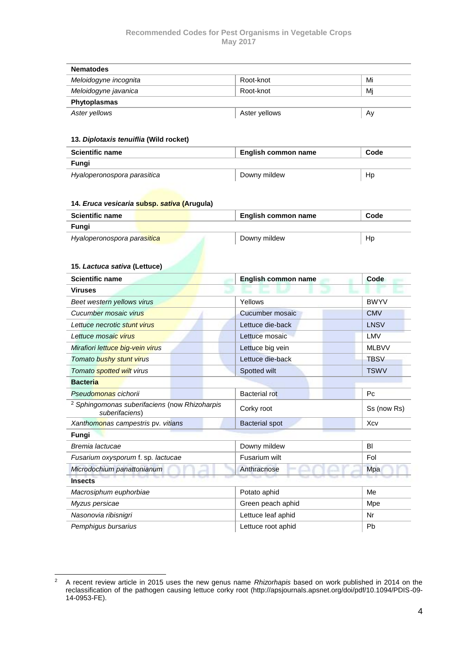| <b>Nematodes</b>      |               |    |  |
|-----------------------|---------------|----|--|
| Meloidogyne incognita | Root-knot     | Mi |  |
| Meloidogyne javanica  | Root-knot     | Mi |  |
| Phytoplasmas          |               |    |  |
| Aster yellows         | Aster yellows | A٧ |  |

#### <span id="page-6-0"></span>**13.** *Diplotaxis tenuiflia* **(Wild rocket)**

| <b>Scientific name</b>      | English common name | Code |  |
|-----------------------------|---------------------|------|--|
| Fungi                       |                     |      |  |
| Hyaloperonospora parasitica | Downy mildew        | Hp   |  |

#### <span id="page-6-1"></span>**14.** *Eruca vesicaria* **subsp.** *sativa* **(Arugula)**

| <b>Scientific name</b>      | English common name | Code |
|-----------------------------|---------------------|------|
| Fungi                       |                     |      |
| Hyaloperonospora parasitica | Downy mildew        | Hp   |

#### <span id="page-6-2"></span>**15.** *Lactuca sativa* **(Lettuce)**

| <b>Scientific name</b>                                                     | English common name   | Code           |  |  |
|----------------------------------------------------------------------------|-----------------------|----------------|--|--|
| <b>Viruses</b>                                                             |                       |                |  |  |
| Beet western yellows virus                                                 | Yellows               | <b>BWYV</b>    |  |  |
| Cucumber mosaic virus                                                      | Cucumber mosaic       | <b>CMV</b>     |  |  |
| Lettuce necrotic stunt virus                                               | Lettuce die-back      | LNSV           |  |  |
| Lettuce mosaic virus                                                       | Lettuce mosaic        | LMV            |  |  |
| Mirafiori lettuce big-vein virus                                           | Lettuce big vein      | <b>MLBVV</b>   |  |  |
| Tomato bushy stunt virus                                                   | Lettuce die-back      | <b>TBSV</b>    |  |  |
| Tomato spotted wilt virus                                                  | Spotted wilt          | <b>TSWV</b>    |  |  |
| <b>Bacteria</b>                                                            |                       |                |  |  |
| Pseudomonas cichorii                                                       | <b>Bacterial rot</b>  | P <sub>C</sub> |  |  |
| <sup>2</sup> Sphingomonas suberifaciens (now Rhizoharpis<br>suberifaciens) | Corky root            | Ss (now Rs)    |  |  |
| Xanthomonas campestris pv. vitians                                         | <b>Bacterial spot</b> | Xcv            |  |  |
| Fungi                                                                      |                       |                |  |  |
| Bremia lactucae                                                            | Downy mildew          | BI             |  |  |
| Fusarium oxysporum f. sp. lactucae                                         | Fusarium wilt         | Fol            |  |  |
| Microdochium panattonianum                                                 | Anthracnose           | Mpa            |  |  |
| <b>Insects</b>                                                             |                       |                |  |  |
| Macrosiphum euphorbiae                                                     | Potato aphid          | Me             |  |  |
| Myzus persicae                                                             | Green peach aphid     | Mpe            |  |  |
| Nasonovia ribisnigri                                                       | Lettuce leaf aphid    | Nr             |  |  |
| Pemphigus bursarius                                                        | Lettuce root aphid    | Pb             |  |  |

 $\overline{c}$ <sup>2</sup> A recent review article in 2015 uses the new genus name *Rhizorhapis* based on work published in 2014 on the reclassification of the pathogen causing lettuce corky root (http://apsjournals.apsnet.org/doi/pdf/10.1094/PDIS-09- 14-0953-FE).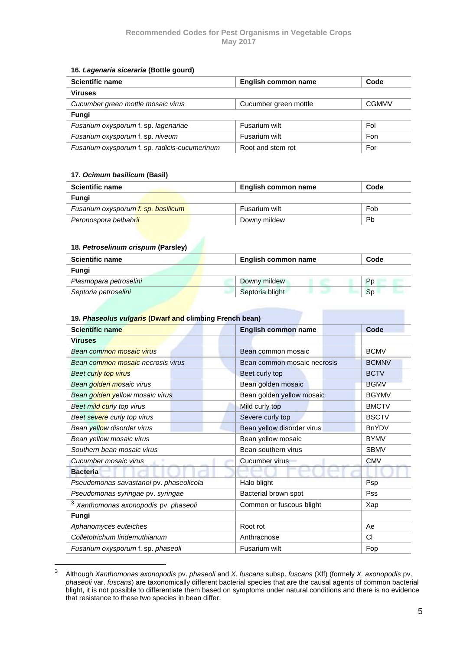#### <span id="page-7-0"></span>**16.** *Lagenaria siceraria* **(Bottle gourd)**

| <b>Scientific name</b>                        | English common name   | Code         |  |
|-----------------------------------------------|-----------------------|--------------|--|
| <b>Viruses</b>                                |                       |              |  |
| Cucumber green mottle mosaic virus            | Cucumber green mottle | <b>CGMMV</b> |  |
| Fungi                                         |                       |              |  |
| Fusarium oxysporum f. sp. lagenariae          | Fusarium wilt         | Fol          |  |
| Fusarium oxysporum f. sp. niveum              | Fusarium wilt         | Fon          |  |
| Fusarium oxysporum f. sp. radicis-cucumerinum | Root and stem rot     | For          |  |

#### <span id="page-7-1"></span>**17.** *Ocimum basilicum* **(Basil)**

| <b>Scientific name</b>              | English common name | Code |
|-------------------------------------|---------------------|------|
| Fungi                               |                     |      |
| Fusarium oxysporum f. sp. basilicum | Fusarium wilt       | Fob  |
| Peronospora belbahrii               | Downy mildew        | Pb   |

#### <span id="page-7-2"></span>**18.** *Petroselinum crispum* **(Parsley)**

| <b>Scientific name</b> | English common name | Code |
|------------------------|---------------------|------|
| Fungi                  |                     |      |
| Plasmopara petroselini | Downy mildew        | Pp   |
| Septoria petroselini   | Septoria blight     | Sp   |

<span id="page-7-3"></span>

| Scientific name                                  | <b>English common name</b>  | Code         |
|--------------------------------------------------|-----------------------------|--------------|
| <b>Viruses</b>                                   |                             |              |
| Bean common mosaic virus                         | Bean common mosaic          | <b>BCMV</b>  |
| Bean common mosaic necrosis virus                | Bean common mosaic necrosis | <b>BCMNV</b> |
| Beet curly top virus                             | Beet curly top              | <b>BCTV</b>  |
| Bean golden mosaic virus                         | Bean golden mosaic          | <b>BGMV</b>  |
| Bean golden yellow mosaic virus                  | Bean golden yellow mosaic   | <b>BGYMV</b> |
| Beet mild curly top virus                        | Mild curly top              | <b>BMCTV</b> |
| Beet severe curly top virus                      | Severe curly top            | <b>BSCTV</b> |
| Bean yellow disorder virus                       | Bean yellow disorder virus  | <b>BnYDV</b> |
| Bean yellow mosaic virus                         | Bean yellow mosaic          | <b>BYMV</b>  |
| Southern bean mosaic virus                       | Bean southern virus         | <b>SBMV</b>  |
| Cucumber mosaic virus                            | Cucumber virus              | <b>CMV</b>   |
| <b>Bacteria</b>                                  |                             |              |
| Pseudomonas savastanoi pv. phaseolicola          | Halo blight                 | Psp          |
| Pseudomonas syringae pv. syringae                | Bacterial brown spot        | <b>Pss</b>   |
| <sup>3</sup> Xanthomonas axonopodis pv. phaseoli | Common or fuscous blight    | Xap          |
| Fungi                                            |                             |              |
| Aphanomyces euteiches                            | Root rot                    | Ae           |
| Colletotrichum lindemuthianum                    | Anthracnose                 | <b>CI</b>    |
| Fusarium oxysporum f. sp. phaseoli               | Fusarium wilt               | Fop          |

 $\overline{3}$ <sup>3</sup> Although *Xanthomonas axonopodis* pv. *phaseoli* and *X. fuscans* subsp. *fuscans* (Xff) (formely *X. axonopodis* pv. *phaseoli* var. *fuscans*) are taxonomically different bacterial species that are the causal agents of common bacterial blight, it is not possible to differentiate them based on symptoms under natural conditions and there is no evidence that resistance to these two species in bean differ.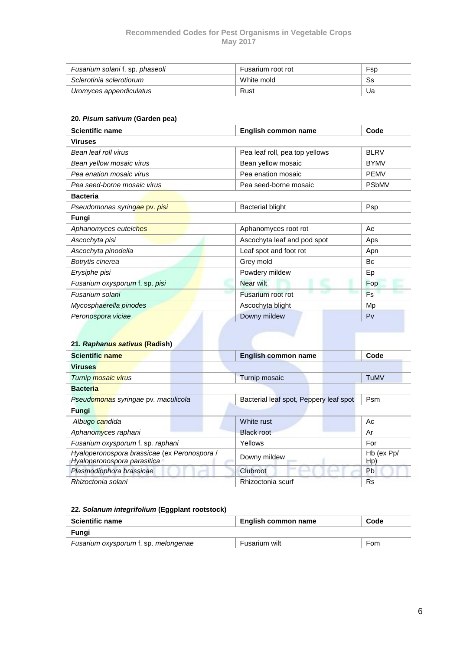| Fusarium solani f. sp. phaseoli | Fusarium root rot | Fsp |
|---------------------------------|-------------------|-----|
| Sclerotinia sclerotiorum        | White mold        | Ss  |
| Uromyces appendiculatus         | Rust              | Ua  |

#### <span id="page-8-0"></span>**20.** *Pisum sativum* **(Garden pea)**

| <b>Scientific name</b>         | English common name            | Code           |  |
|--------------------------------|--------------------------------|----------------|--|
| <b>Viruses</b>                 |                                |                |  |
| Bean leaf roll virus           | Pea leaf roll, pea top yellows | <b>BLRV</b>    |  |
| Bean yellow mosaic virus       | Bean yellow mosaic             | <b>BYMV</b>    |  |
| Pea enation mosaic virus       | Pea enation mosaic             | <b>PEMV</b>    |  |
| Pea seed-borne mosaic virus    | Pea seed-borne mosaic          | <b>PSbMV</b>   |  |
| <b>Bacteria</b>                |                                |                |  |
| Pseudomonas syringae pv. pisi  | <b>Bacterial blight</b>        | Psp            |  |
| Fungi                          |                                |                |  |
| Aphanomyces euteiches          | Aphanomyces root rot           | Ae             |  |
| Ascochyta pisi                 | Ascochyta leaf and pod spot    | Aps            |  |
| Ascochyta pinodella            | Leaf spot and foot rot         | Apn            |  |
| Botrytis cinerea               | Grey mold                      | Bc             |  |
| Erysiphe pisi                  | Powdery mildew                 | Ep             |  |
| Fusarium oxysporum f. sp. pisi | Near wilt                      | Fop            |  |
| Fusarium solani                | Fusarium root rot              | <b>Fs</b>      |  |
| Mycosphaerella pinodes         | Ascochyta blight               | Mp             |  |
| Peronospora viciae             | Downy mildew                   | P <sub>V</sub> |  |

# <span id="page-8-1"></span>**21.** *Raphanus sativus* **(Radish)**

| <b>Scientific name</b>                                                      | English common name                    | Code              |
|-----------------------------------------------------------------------------|----------------------------------------|-------------------|
| <b>Viruses</b>                                                              |                                        |                   |
| Turnip mosaic virus                                                         | Turnip mosaic                          | TuMV              |
| <b>Bacteria</b>                                                             |                                        |                   |
| Pseudomonas syringae pv. maculicola                                         | Bacterial leaf spot, Peppery leaf spot | Psm               |
| <b>Fungi</b>                                                                |                                        |                   |
| Albugo candida                                                              | White rust                             | Ac                |
| Aphanomyces raphani                                                         | <b>Black root</b>                      | Ar                |
| Fusarium oxysporum f. sp. raphani                                           | Yellows                                | For               |
| Hyaloperonospora brassicae (ex Peronospora /<br>Hyaloperonospora parasitica | Downy mildew                           | Hb (ex Pp/<br>Hp) |
| Plasmodiophora brassicae                                                    | Clubroot                               | Pb                |
| Rhizoctonia solani                                                          | Rhizoctonia scurf                      | <b>Rs</b>         |

#### <span id="page-8-2"></span>**22.** *Solanum integrifolium* **(Eggplant rootstock)**

| <b>Scientific name</b>               | English common name | Code |  |
|--------------------------------------|---------------------|------|--|
| Fungi                                |                     |      |  |
| Fusarium oxysporum f. sp. melongenae | Fusarium wilt       | Fom  |  |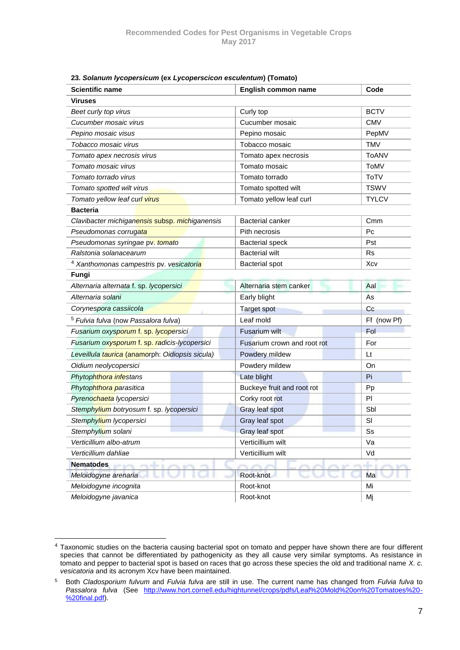| <b>Scientific name</b>                              | English common name         | Code         |
|-----------------------------------------------------|-----------------------------|--------------|
| <b>Viruses</b>                                      |                             |              |
| Beet curly top virus                                | Curly top                   | <b>BCTV</b>  |
| Cucumber mosaic virus                               | Cucumber mosaic             | <b>CMV</b>   |
| Pepino mosaic visus                                 | Pepino mosaic               | PepMV        |
| Tobacco mosaic virus                                | Tobacco mosaic              | <b>TMV</b>   |
| Tomato apex necrosis virus                          | Tomato apex necrosis        | ToANV        |
| Tomato mosaic virus                                 | Tomato mosaic               | ToMV         |
| Tomato torrado virus                                | Tomato torrado              | <b>ToTV</b>  |
| Tomato spotted wilt virus                           | Tomato spotted wilt         | <b>TSWV</b>  |
| Tomato yellow leaf curl virus                       | Tomato yellow leaf curl     | <b>TYLCV</b> |
| <b>Bacteria</b>                                     |                             |              |
| Clavibacter michiganensis subsp. michiganensis      | <b>Bacterial canker</b>     | Cmm          |
| Pseudomonas corrug <mark>ata</mark>                 | Pith necrosis               | Pc           |
| Pseudomonas syringae pv. tomato                     | <b>Bacterial speck</b>      | Pst          |
| Ralstonia solanacearum                              | <b>Bacterial wilt</b>       | Rs           |
| <sup>4</sup> Xanthomonas campestris pv. vesicatoria | <b>Bacterial spot</b>       | Xcv          |
| Fungi                                               |                             |              |
| Alternaria alternata f. sp. lycopersici             | Alternaria stem canker      | Aal          |
| Alternaria solani                                   | Early blight                | As           |
| Corynespora cassiicola                              | <b>Target spot</b>          | Cc           |
| <sup>5</sup> Fulvia fulva (now Passalora fulva)     | Leaf mold                   | Ff (now Pf)  |
| Fusarium oxysporum f. sp. lycopersici               | <b>Fusarium wilt</b>        | Fol          |
| Fusarium oxysporum f. sp. radicis-lycopersici       | Fusarium crown and root rot | For          |
| Leveillula taurica (anamorph: Oidiopsis sicula)     | Powdery mildew              | Lt           |
| Oidium neolycopersici                               | Powdery mildew              | On           |
| Phytophthora infestans                              | Late blight                 | Pi           |
| Phytophthora parasitica                             | Buckeye fruit and root rot  | Pp           |
| Pyrenochaeta lycopersici                            | Corky root rot              | PI           |
| Stemphylium botryosum f. sp. lycopersici            | Gray leaf spot              | Sbl          |
| Stemphylium lycopersici                             | Gray leaf spot              | SI           |
| Stemphylium solani                                  | Gray leaf spot              | Ss           |
| Verticillium albo-atrum                             | Verticillium wilt           | Va           |
| Verticillium dahliae                                | Verticillium wilt           | Vd           |
| <b>Nematodes</b>                                    |                             |              |
| Meloidogyne arenaria                                | Root-knot                   | Ma           |
| Meloidogyne incognita                               | Root-knot                   | Mi           |
| Meloidogyne javanica                                | Root-knot                   | Mj           |

<span id="page-9-0"></span>**23.** *Solanum lycopersicum* **(ex** *Lycoperscicon esculentum***) (Tomato)**

<sup>&</sup>lt;sup>4</sup> Taxonomic studies on the bacteria causing bacterial spot on tomato and pepper have shown there are four different species that cannot be differentiated by pathogenicity as they all cause very similar symptoms. As resistance in tomato and pepper to bacterial spot is based on races that go across these species the old and traditional name *X. c. vesicatoria* and its acronym Xcv have been maintained.

<sup>5</sup> Both *Cladosporium fulvum* and *Fulvia fulva* are still in use. The current name has changed from *Fulvia fulva* to *Passalora fulva* (See [http://www.hort.cornell.edu/hightunnel/crops/pdfs/Leaf%20Mold%20on%20Tomatoes%20-](http://www.hort.cornell.edu/hightunnel/crops/pdfs/Leaf%20Mold%20on%20Tomatoes%20-%20final.pdf) [%20final.pdf\)](http://www.hort.cornell.edu/hightunnel/crops/pdfs/Leaf%20Mold%20on%20Tomatoes%20-%20final.pdf).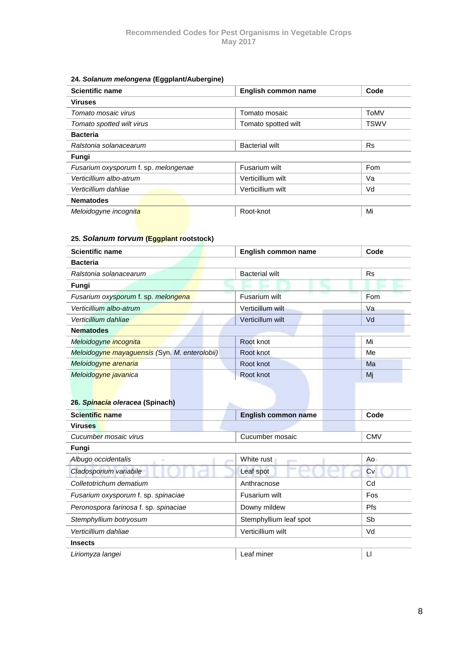#### <span id="page-10-0"></span>**24.** *Solanum melongena* **(Eggplant/Aubergine)**

| <b>Scientific name</b>               | English common name   | Code        |
|--------------------------------------|-----------------------|-------------|
| <b>Viruses</b>                       |                       |             |
| Tomato mosaic virus                  | Tomato mosaic         | ToMV        |
| Tomato spotted wilt virus            | Tomato spotted wilt   | <b>TSWV</b> |
| <b>Bacteria</b>                      |                       |             |
| Ralstonia solanacearum               | <b>Bacterial wilt</b> | <b>Rs</b>   |
| Fungi                                |                       |             |
| Fusarium oxysporum f. sp. melongenae | Fusarium wilt         | Fom         |
| Verticillium albo-atrum              | Verticillium wilt     | Va          |
| Verticillium dahliae                 | Verticillium wilt     | Vd          |
| <b>Nematodes</b>                     |                       |             |
| Meloidogyne incognita                | Root-knot             | Mi          |

# <span id="page-10-1"></span>**25.** *Solanum torvum* **(Eggplant rootstock)**

| <b>Scientific name</b>                        | English common name   | Code      |  |
|-----------------------------------------------|-----------------------|-----------|--|
| <b>Bacteria</b>                               |                       |           |  |
| Ralstonia solanacearum                        | <b>Bacterial wilt</b> | <b>Rs</b> |  |
| Fungi                                         |                       |           |  |
| Fusarium oxysporum f. sp. melongena           | Fusarium wilt         | Fom       |  |
| Verticillium albo-atrum                       | Verticillum wilt      | Va        |  |
| Verticillium dahliae                          | Verticillum wilt      | Vd        |  |
| <b>Nematodes</b>                              |                       |           |  |
| Meloidogyne incognita                         | Root knot             | Mi        |  |
| Meloidogyne mayaguensis (Syn. M. enterolobii) | Root knot             | Me        |  |
| Meloidogyne arenaria                          | Root knot             | Ma        |  |
| Meloidogyne javanica                          | Root knot             | Mj        |  |

<span id="page-10-2"></span>

| Scientific name                       | <b>English common name</b> | Code       |
|---------------------------------------|----------------------------|------------|
| <b>Viruses</b>                        |                            |            |
| Cucumber mosaic virus                 | Cucumber mosaic            | <b>CMV</b> |
| Fungi                                 |                            |            |
| Albugo occidentalis                   | White rust                 | Ao         |
| Cladosporium variabile                | Leaf spot                  | C٧         |
| Colletotrichum dematium               | Anthracnose                | Cd         |
| Fusarium oxysporum f. sp. spinaciae   | Fusarium wilt              | Fos        |
| Peronospora farinosa f. sp. spinaciae | Downy mildew               | <b>Pfs</b> |
| Stemphyllium botryosum                | Stemphyllium leaf spot     | Sb         |
| Verticillium dahliae                  | Verticillium wilt          | Vd         |
| <b>Insects</b>                        |                            |            |
| Liriomyza langei                      | Leaf miner                 | П          |